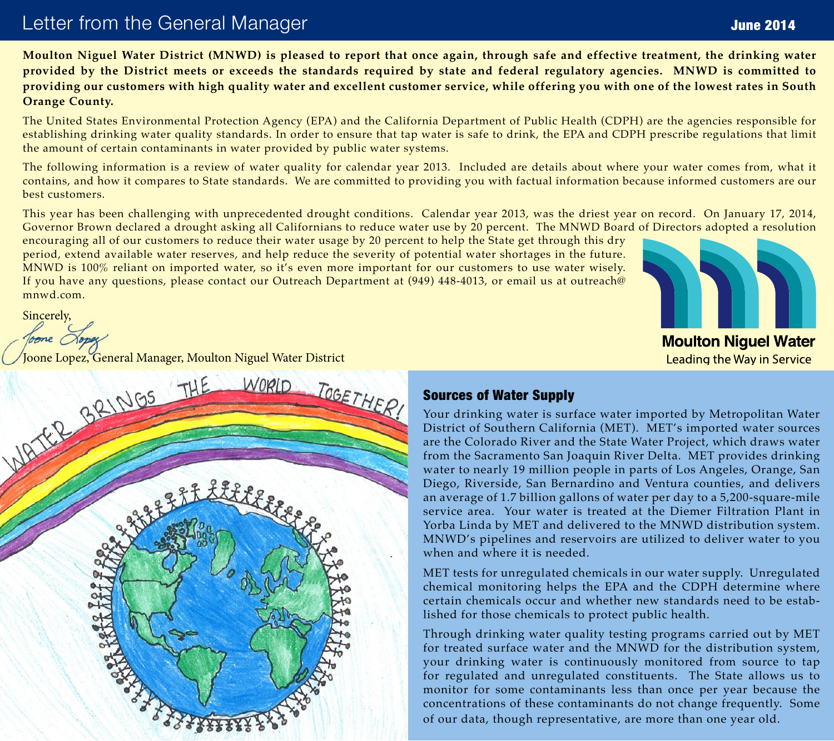# Letter from the General Manager

**Moulton Niguel Water District (MNWD) is pleased to report that once again, through safe and effective treatment, the drinking water provided by the District meets or exceeds the standards required by state and federal regulatory agencies. MNWD is committed to providing our customers with high quality water and excellent customer service, while offering you with one of the lowest rates in South Orange County.**

The United States Environmental Protection Agency (EPA) and the California Department of Public Health (CDPH) are the agencies responsible for establishing drinking water quality standards. In order to ensure that tap water is safe to drink, the EPA and CDPH prescribe regulations that limit the amount of certain contaminants in water provided by public water systems.

The following information is a review of water quality for calendar year 2013. Included are details about where your water comes from, what it contains, and how it compares to State standards. We are committed to providing you with factual information because informed customers are our best customers.

This year has been challenging with unprecedented drought conditions. Calendar year 2013, was the driest year on record. On January 17, 2014, Governor Brown declared a drought asking all Californians to reduce water use by 20 percent. The MNWD Board of Directors adopted a resolution

encouraging all of our customers to reduce their water usage by 20 percent to help the State get through this dry period, extend available water reserves, and help reduce the severity of potential water shortages in the future. MNWD is 100% reliant on imported water, so it's even more important for our customers to use water wisely. If you have any questions, please contact our Outreach Department at (949) 448-4013, or email us at outreach@ mnwd.com.

Sincerely,



# Sources of Water Supply

Your drinking water is surface water imported by Metropolitan Water District of Southern California (MET). MET's imported water sources are the Colorado River and the State Water Project, which draws water from the Sacramento San Joaquin River Delta. MET provides drinking water to nearly 19 million people in parts of Los Angeles, Orange, San Diego, Riverside, San Bernardino and Ventura counties, and delivers an average of 1.7 billion gallons of water per day to a 5,200-square-mile service area. Your water is treated at the Diemer Filtration Plant in Yorba Linda by MET and delivered to the MNWD distribution system. MNWD's pipelines and reservoirs are utilized to deliver water to you when and where it is needed.

MET tests for unregulated chemicals in our water supply. Unregulated chemical monitoring helps the EPA and the CDPH determine where certain chemicals occur and whether new standards need to be established for those chemicals to protect public health.

Through drinking water quality testing programs carried out by MET for treated surface water and the MNWD for the distribution system, your drinking water is continuously monitored from source to tap for regulated and unregulated constituents. The State allows us to monitor for some contaminants less than once per year because the concentrations of these contaminants do not change frequently. Some of our data, though representative, are more than one year old.



June 2014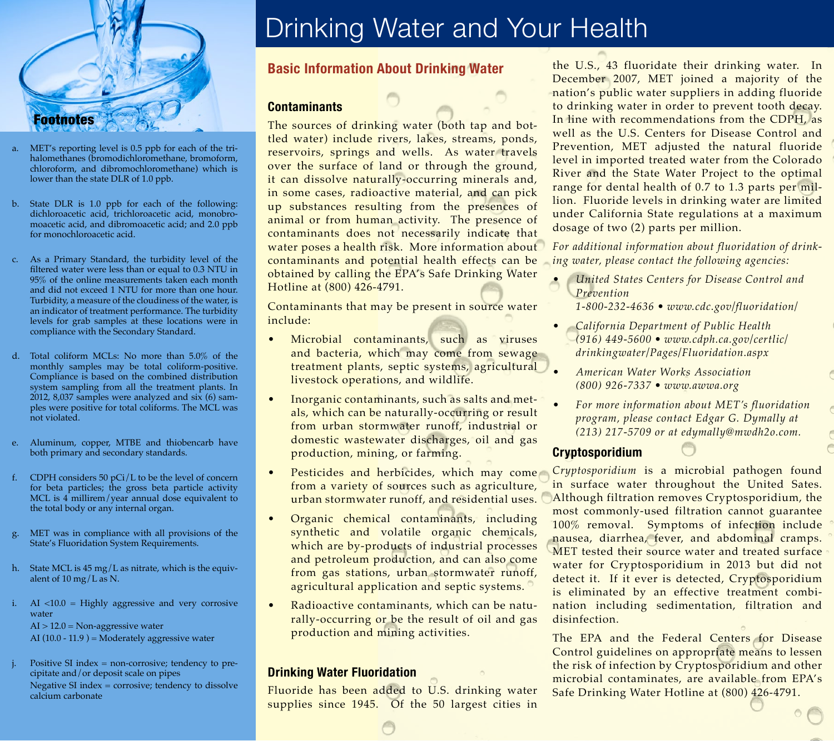

- a. MET's reporting level is 0.5 ppb for each of the trihalomethanes (bromodichloromethane, bromoform, chloroform, and dibromochloromethane) which is lower than the state DLR of 1.0 ppb.
- b. State DLR is 1.0 ppb for each of the following: dichloroacetic acid, trichloroacetic acid, monobromoacetic acid, and dibromoacetic acid; and 2.0 ppb for monochloroacetic acid.
- c. As a Primary Standard, the turbidity level of the filtered water were less than or equal to 0.3 NTU in 95% of the online measurements taken each month and did not exceed 1 NTU for more than one hour. Turbidity, a measure of the cloudiness of the water, is an indicator of treatment performance. The turbidity levels for grab samples at these locations were in compliance with the Secondary Standard.
- d. Total coliform MCLs: No more than 5.0% of the monthly samples may be total coliform-positive. Compliance is based on the combined distribution system sampling from all the treatment plants. In 2012, 8,037 samples were analyzed and six (6) samples were positive for total coliforms. The MCL was not violated.
- e. Aluminum, copper, MTBE and thiobencarb have both primary and secondary standards.
- f. CDPH considers 50 pCi/L to be the level of concern for beta particles; the gross beta particle activity MCL is 4 millirem/year annual dose equivalent to the total body or any internal organ.
- g. MET was in compliance with all provisions of the State's Fluoridation System Requirements.
- h. State MCL is 45 mg/L as nitrate, which is the equivalent of 10 mg/L as N.
- i. AI <10.0 = Highly aggressive and very corrosive water AI > 12.0 = Non-aggressive water AI  $(10.0 - 11.9)$  = Moderately aggressive water
- Positive SI index  $=$  non-corrosive; tendency to precipitate and/or deposit scale on pipes Negative SI index = corrosive; tendency to dissolve calcium carbonate

# Drinking Water and Your Health

# **Basic Information About Drinking Water**

# **Contaminants**

The sources of drinking water (both tap and bottled water) include rivers, lakes, streams, ponds, reservoirs, springs and wells. As water travels over the surface of land or through the ground, it can dissolve naturally-occurring minerals and, in some cases, radioactive material, and can pick up substances resulting from the presences of animal or from human activity. The presence of contaminants does not necessarily indicate that water poses a health risk. More information about contaminants and potential health effects can be obtained by calling the EPA's Safe Drinking Water Hotline at (800) 426-4791.

Contaminants that may be present in source water include:

- Microbial contaminants, such as viruses and bacteria, which may come from sewage treatment plants, septic systems, agricultural livestock operations, and wildlife.
- Inorganic contaminants, such as salts and metals, which can be naturally-occurring or result from urban stormwater runoff, industrial or domestic wastewater discharges, oil and gas production, mining, or farming.
- Pesticides and herbicides, which may come from a variety of sources such as agriculture, urban stormwater runoff, and residential uses.
- Organic chemical contaminants, including synthetic and volatile organic chemicals, which are by-products of industrial processes and petroleum production, and can also come from gas stations, urban stormwater runoff, agricultural application and septic systems.
- Radioactive contaminants, which can be naturally-occurring or be the result of oil and gas production and mining activities.

### **Drinking Water Fluoridation**

Fluoride has been added to U.S. drinking water supplies since 1945. Of the 50 largest cities in the U.S., 43 fluoridate their drinking water. In December 2007, MET joined a majority of the nation's public water suppliers in adding fluoride to drinking water in order to prevent tooth decay. In line with recommendations from the CDPH, as well as the U.S. Centers for Disease Control and Prevention, MET adjusted the natural fluoride level in imported treated water from the Colorado River and the State Water Project to the optimal range for dental health of 0.7 to 1.3 parts per million. Fluoride levels in drinking water are limited under California State regulations at a maximum dosage of two (2) parts per million.

*For additional information about fluoridation of drinking water, please contact the following agencies:*

• *United States Centers for Disease Control and Prevention*

*1-800-232-4636 • www.cdc.gov/fluoridation/*

- *California Department of Public Health (916) 449-5600 • www.cdph.ca.gov/certlic/ drinkingwater/Pages/Fluoridation.aspx*
- *American Water Works Association (800) 926-7337 • www.awwa.org*
- *For more information about MET's fluoridation program, please contact Edgar G. Dymally at (213) 217-5709 or at edymally@mwdh2o.com.*

# **Cryptosporidium**

*Cryptosporidium* is a microbial pathogen found in surface water throughout the United Sates. Although filtration removes Cryptosporidium, the most commonly-used filtration cannot guarantee 100% removal. Symptoms of infection include nausea, diarrhea, fever, and abdominal cramps. MET tested their source water and treated surface water for Cryptosporidium in 2013 but did not detect it. If it ever is detected, Cryptosporidium is eliminated by an effective treatment combination including sedimentation, filtration and disinfection.

The EPA and the Federal Centers for Disease Control guidelines on appropriate means to lessen the risk of infection by Cryptosporidium and other microbial contaminates, are available from EPA's Safe Drinking Water Hotline at (800) 426-4791.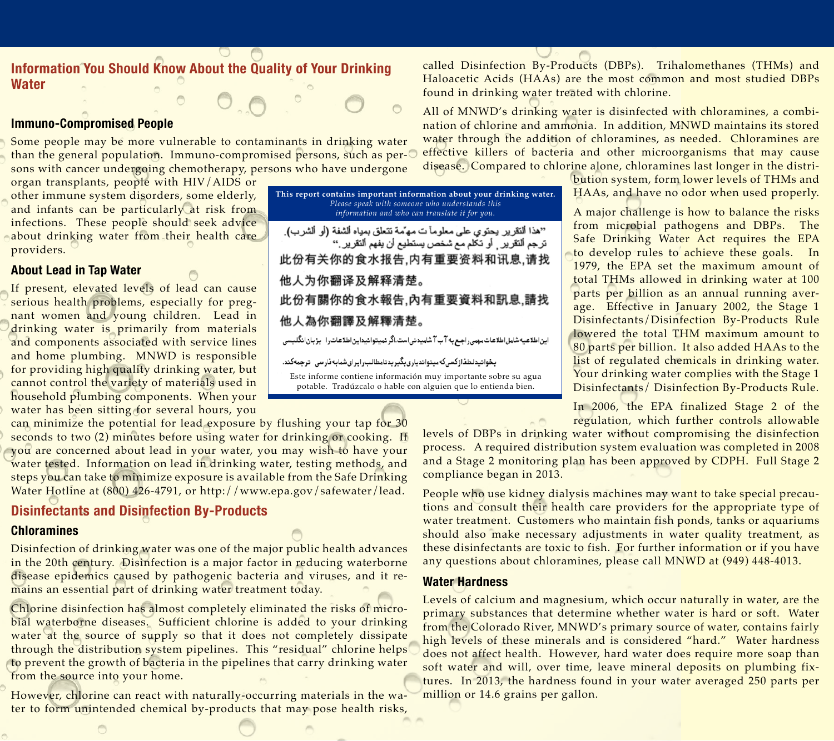# **Information You Should Know About the Quality of Your Drinking Water**

### **Immuno-Compromised People**

Some people may be more vulnerable to contaminants in drinking water than the general population. Immuno-compromised persons, such as persons with cancer undergoing chemotherapy, persons who have undergone

organ transplants, people with HIV/AIDS or other immune system disorders, some elderly, and infants can be particularly at risk from infections. These people should seek advice about drinking water from their health care providers.

### **About Lead in Tap Water**

If present, elevated levels of lead can cause serious health problems, especially for pregnant women and young children. Lead in drinking water is primarily from materials and components associated with service lines and home plumbing. MNWD is responsible for providing high quality drinking water, but cannot control the variety of materials used in household plumbing components. When your water has been sitting for several hours, you

can minimize the potential for lead exposure by flushing your tap for 30 seconds to two (2) minutes before using water for drinking or cooking. If you are concerned about lead in your water, you may wish to have your water tested. Information on lead in drinking water, testing methods, and steps you can take to minimize exposure is available from the Safe Drinking Water Hotline at (800) 426-4791, or http://www.epa.gov/safewater/lead.

# **Disinfectants and Disinfection By-Products**

### **Chloramines**

Disinfection of drinking water was one of the major public health advances in the 20th century. Disinfection is a major factor in reducing waterborne disease epidemics caused by pathogenic bacteria and viruses, and it remains an essential part of drinking water treatment today.

Chlorine disinfection has almost completely eliminated the risks of microbial waterborne diseases. Sufficient chlorine is added to your drinking water at the source of supply so that it does not completely dissipate through the distribution system pipelines. This "residual" chlorine helps to prevent the growth of bacteria in the pipelines that carry drinking water from the source into your home.

However, chlorine can react with naturally-occurring materials in the water to form unintended chemical by-products that may pose health risks, called Disinfection By-Products (DBPs). Trihalomethanes (THMs) and Haloacetic Acids (HAAs) are the most common and most studied DBPs found in drinking water treated with chlorine.

All of MNWD's drinking water is disinfected with chloramines, a combination of chlorine and ammonia. In addition, MNWD maintains its stored water through the addition of chloramines, as needed. Chloramines are effective killers of bacteria and other microorganisms that may cause disease. Compared to chlorine alone, chloramines last longer in the distri-

> bution system, form lower levels of THMs and HAAs, and have no odor when used properly.

> A major challenge is how to balance the risks from microbial pathogens and DBPs. The Safe Drinking Water Act requires the EPA to develop rules to achieve these goals. In 1979, the EPA set the maximum amount of total THMs allowed in drinking water at 100 parts per billion as an annual running average. Effective in January 2002, the Stage 1 Disinfectants/Disinfection By-Products Rule lowered the total THM maximum amount to 80 parts per billion. It also added HAAs to the list of regulated chemicals in drinking water. Your drinking water complies with the Stage 1 Disinfectants/ Disinfection By-Products Rule.

> In 2006, the EPA finalized Stage 2 of the regulation, which further controls allowable

levels of DBPs in drinking water without compromising the disinfection process. A required distribution system evaluation was completed in 2008 and a Stage 2 monitoring plan has been approved by CDPH. Full Stage 2 compliance began in 2013.

People who use kidney dialysis machines may want to take special precautions and consult their health care providers for the appropriate type of water treatment. Customers who maintain fish ponds, tanks or aquariums should also make necessary adjustments in water quality treatment, as these disinfectants are toxic to fish. For further information or if you have any questions about chloramines, please call MNWD at (949) 448-4013.

# **Water Hardness**

Levels of calcium and magnesium, which occur naturally in water, are the primary substances that determine whether water is hard or soft. Water from the Colorado River, MNWD's primary source of water, contains fairly high levels of these minerals and is considered "hard." Water hardness does not affect health. However, hard water does require more soap than soft water and will, over time, leave mineral deposits on plumbing fixtures. In 2013, the hardness found in your water averaged 250 parts per million or 14.6 grains per gallon.

**This report contains important information about your drinking water.**  *Please speak with someone who understands this information and who can translate it for you.* "هذا ألنقرير يحتوي على معلوماً ت مهمّه تتعلّق بمياه ألشفة (أو ألشرب). ترجم التقرير ¸ أو تكلم مع شخص يستطيع أن يفهم ألتقرير ." 此份有关你的食水报告,内有重要资料和讯息,请找 他人为你翻译及解释清楚。 此份有關你的食水報告,內有重要資料和訊息,請找 他人為你翻譯及解釋清楚。 این اطلاعیه شامل اطلاعات مرمی راجع به آب آ شامیدنی است.اگر نمیتوانیداین اطلاعات را بزبان انگلیسی .<br>بخوانیدلطفاازکسیکهمیتواندیاریبگیریدتامطالب(ایرایشمایهفارسی-ترجمهکند.

Este informe contiene información muy importante sobre su agua potable. Tradúzcalo o hable con alguien que lo entienda bien.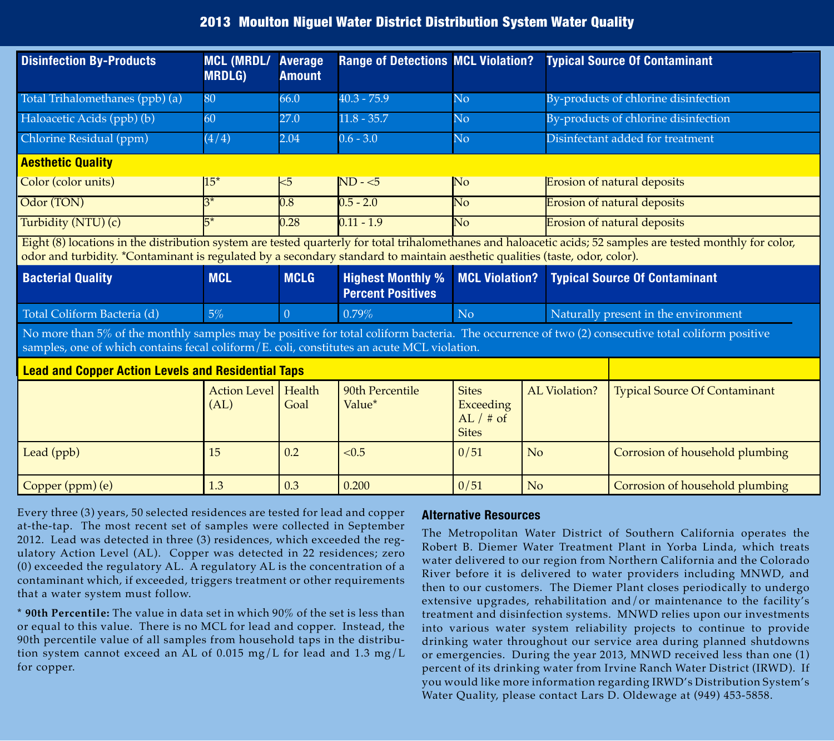# 2013 Moulton Niguel Water District Distribution System Water Quality

| <b>Disinfection By-Products</b>                                                                                                                                                                                                                                                             | <b>MCL (MRDL/</b><br><b>MRDLG)</b> | <b>Average</b><br><b>Amount</b> | <b>Range of Detections MCL Violation?</b>            |                                                                 |                      | <b>Typical Source Of Contaminant</b> |  |  |
|---------------------------------------------------------------------------------------------------------------------------------------------------------------------------------------------------------------------------------------------------------------------------------------------|------------------------------------|---------------------------------|------------------------------------------------------|-----------------------------------------------------------------|----------------------|--------------------------------------|--|--|
| Total Trihalomethanes (ppb) (a)                                                                                                                                                                                                                                                             | 80                                 | 66.0                            | $40.3 - 75.9$                                        | No                                                              |                      | By-products of chlorine disinfection |  |  |
| Haloacetic Acids (ppb) (b)                                                                                                                                                                                                                                                                  | 60                                 | 27.0                            | $11.8 - 35.7$                                        | $\overline{\text{No}}$                                          |                      | By-products of chlorine disinfection |  |  |
| Chlorine Residual (ppm)                                                                                                                                                                                                                                                                     | (4/4)                              | 2.04                            | $0.6 - 3.0$                                          | $\overline{N_{O}}$                                              |                      | Disinfectant added for treatment     |  |  |
| <b>Aesthetic Quality</b>                                                                                                                                                                                                                                                                    |                                    |                                 |                                                      |                                                                 |                      |                                      |  |  |
| Color (color units)                                                                                                                                                                                                                                                                         | $15*$                              | $5$                             | $ND - 5$                                             | No                                                              |                      | <b>Erosion of natural deposits</b>   |  |  |
| Odor (TON)                                                                                                                                                                                                                                                                                  | $3^*$                              | $\overline{0.8}$                | $0.5 - 2.0$                                          | $\overline{\text{No}}$                                          |                      | <b>Erosion of natural deposits</b>   |  |  |
| Turbidity (NTU) (c)                                                                                                                                                                                                                                                                         |                                    | 0.28                            | $0.11 - 1.9$                                         | $\overline{\text{No}}$                                          |                      | <b>Erosion of natural deposits</b>   |  |  |
| Eight (8) locations in the distribution system are tested quarterly for total trihalomethanes and haloacetic acids; 52 samples are tested monthly for color,<br>odor and turbidity. *Contaminant is regulated by a secondary standard to maintain aesthetic qualities (taste, odor, color). |                                    |                                 |                                                      |                                                                 |                      |                                      |  |  |
| <b>Bacterial Quality</b>                                                                                                                                                                                                                                                                    | <b>MCL</b>                         | <b>MCLG</b>                     | <b>Highest Monthly %</b><br><b>Percent Positives</b> | <b>MCL Violation?</b>                                           |                      | <b>Typical Source Of Contaminant</b> |  |  |
| Total Coliform Bacteria (d)                                                                                                                                                                                                                                                                 | 5%                                 | $\theta$                        | 0.79%                                                | N <sub>o</sub>                                                  |                      | Naturally present in the environment |  |  |
| No more than 5% of the monthly samples may be positive for total coliform bacteria. The occurrence of two (2) consecutive total coliform positive<br>samples, one of which contains fecal coliform/E. coli, constitutes an acute MCL violation.                                             |                                    |                                 |                                                      |                                                                 |                      |                                      |  |  |
| <b>Lead and Copper Action Levels and Residential Taps</b>                                                                                                                                                                                                                                   |                                    |                                 |                                                      |                                                                 |                      |                                      |  |  |
|                                                                                                                                                                                                                                                                                             | <b>Action Level</b><br>(AL)        | Health<br>Goal                  | 90th Percentile<br>Value*                            | <b>Sites</b><br><b>Exceeding</b><br>AL $/$ # of<br><b>Sites</b> | <b>AL Violation?</b> | <b>Typical Source Of Contaminant</b> |  |  |
| Lead (ppb)                                                                                                                                                                                                                                                                                  | 15                                 | 0.2                             | < 0.5                                                | 0/51                                                            | No                   | Corrosion of household plumbing      |  |  |
| Copper (ppm) (e)                                                                                                                                                                                                                                                                            | 1.3                                | 0.3                             | 0.200                                                | 0/51                                                            | No                   | Corrosion of household plumbing      |  |  |

Every three (3) years, 50 selected residences are tested for lead and copper at-the-tap. The most recent set of samples were collected in September 2012. Lead was detected in three (3) residences, which exceeded the regulatory Action Level (AL). Copper was detected in 22 residences; zero (0) exceeded the regulatory AL. A regulatory AL is the concentration of a contaminant which, if exceeded, triggers treatment or other requirements that a water system must follow.

**\* 90th Percentile:** The value in data set in which 90% of the set is less than or equal to this value. There is no MCL for lead and copper. Instead, the 90th percentile value of all samples from household taps in the distribution system cannot exceed an AL of 0.015 mg/L for lead and 1.3 mg/L for copper.

### **Alternative Resources**

The Metropolitan Water District of Southern California operates the Robert B. Diemer Water Treatment Plant in Yorba Linda, which treats water delivered to our region from Northern California and the Colorado River before it is delivered to water providers including MNWD, and then to our customers. The Diemer Plant closes periodically to undergo extensive upgrades, rehabilitation and/or maintenance to the facility's treatment and disinfection systems. MNWD relies upon our investments into various water system reliability projects to continue to provide drinking water throughout our service area during planned shutdowns or emergencies. During the year 2013, MNWD received less than one (1) percent of its drinking water from Irvine Ranch Water District (IRWD). If you would like more information regarding IRWD's Distribution System's Water Quality, please contact Lars D. Oldewage at (949) 453-5858.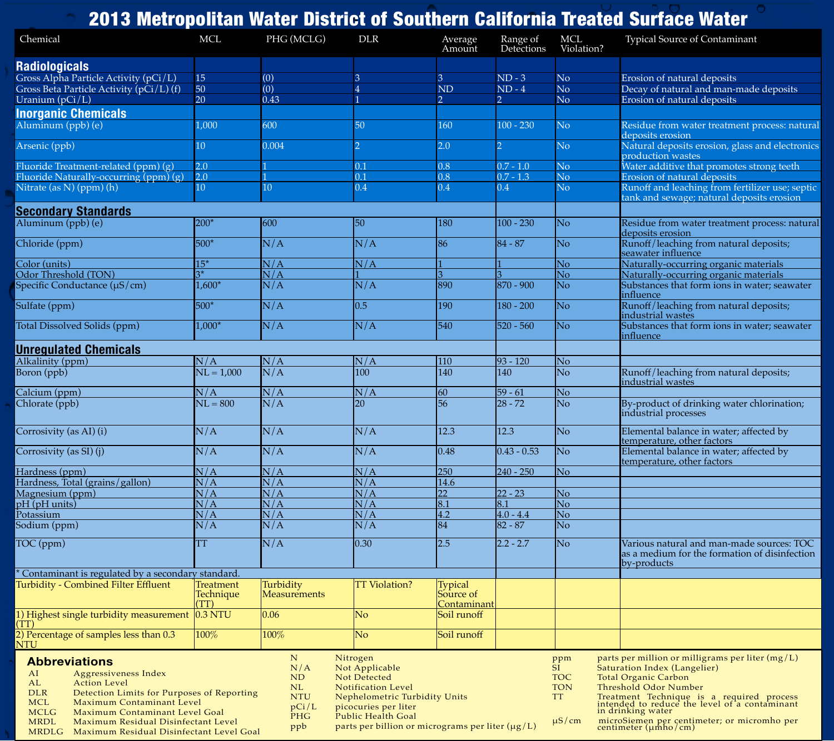#### 2013 Metropolitan Water District of Southern California Treated Surface Water **Abbreviations**<br>AI Aggressiv AI Aggressiveness Index<br>AL Action Level AL Action Level<br>DLR Detection Lin DLR Detection Limits for Purposes of Reporting<br>MCI Maximum Contaminant Level MCL Maximum Contaminant Level<br>MCLG Maximum Contaminant Level MCLG Maximum Contaminant Level Goal<br>MRDL Maximum Residual Disinfectant Le Maximum Residual Disinfectant Level N Nitrogen<br>N/A Not Appl N/A Not Applicable<br>ND Not Detected ND Not Detected<br>NL Notification I NL Notification Level<br>NTU Nephelometric Tui NTU Nephelometric Turbidity Units<br>pCi/L picocuries per liter pCi/L picocuries per liter<br>PHG Public Health Goal PHG Public Health Goal<br>ppb parts per billion or ppm parts per million or milligrams per liter  $(mg/L)$ <br>SI Saturation Index (Langelier) SI Saturation Index (Langelier)<br>TOC Total Organic Carbon TOC Total Organic Carbon<br>TON Threshold Odor Num TON Threshold Odor Number<br>TT Treatment Technique is TT Treatment Technique is a required process intended to reduce the level of a contaminant in drinking water Chemical MCL PHG (MCLG) DLR Average<br>Amount Range of Detections **MCL** Violation? Typical Source of Contaminant **Radiologicals** Gross Alpha Particle Activity (pCi/L) 15 (0) 3 3 3 ND - 3 No Erosion of natural deposits<br>Gross Beta Particle Activity (pCi/L) (f) 50 (0) 4 ND ND - 4 No Decay of natural and man-1 Gross Beta Particle Activity (pCi/L) (f) 50 (0) 4 ND ND - 4 No Decay of natural and man-made deposits<br>Uranium (pCi/L) 20 0.43 1 2 2 No Erosion of natural deposits Erosion of natural deposits **Inorganic Chemicals** Aluminum (ppb) (e) 1,000 600 50 160 100 - 230 No Residue from water treatment process: natural deposits erosion Arsenic (ppb) 10 0.004 2 2.0 2 No Natural deposits erosion, glass and electronics and electronics production wastes Fluoride Treatment-related (ppm) (g) 2.0 1 0.1 0.8 0.7 - 1.0 No Water additive that promotes strong teeth<br>Fluoride Naturally-occurring (ppm) (g) 2.0 1 0.1 0.8 0.7 - 1.3 No Erosion of natural deposits Fluoride Naturally-occurring (ppm) (g) 2.0 1 1 0.1 0.8 0.7 - 1.3 No extended to natural deposite of natural deposits of natural deposite of  $\frac{0.8}{0.4}$  0.4 No  $\frac{0.8}{0.4}$  0.4 No Nitrate (as N) (ppm) (h) 10 10 0.4 0.4 0.4 No Runoff and leaching from fertilizer use; septic tank and sewage; natural deposits erosion **Secondary Standards** 200<sup>\*</sup> 600 50 180 100 - 230 No Residue from water treatment process: natural deposits erosion Chloride (ppm)  $500*$   $N/A$   $N/A$   $86$   $84 - 87$  No Runoff/leaching from natural deposits; seawater influence Color (units) 15<sup>\*</sup>  $N/A$  N/A  $\frac{1}{3}$  1 1 No Naturally-occurring organic materials<br>Odor Threshold (TON) 3<sup>\*</sup> N/A 1 3 3 No Naturally-occurring organic materials Odor Threshold (TON) 3\* N/A 1 3 3 No Naturally-occurring organic materials Substances that form ions in water; seawater influence  $\frac{1}{2}$ Sulfate (ppm) 500\*  $N/A$  0.5 190 180 - 200 No Runoff/leaching from natural deposits; industrial wastes Total Dissolved Solids (ppm) 1,000\*  $N/A$  N/A 540 520 - 560 No Substances that form ions in water; seawater influence **Unregulated Chemicals**  $N/A$   $N/A$   $N/A$   $N/A$   $110$   $93-120$  No<br>Boron (ppb)  $N = 1,000$   $N/A$   $100$   $140$   $140$   $N$ Runoff/leaching from natural deposits; industrial wastes  $N/A$   $N/A$   $N/A$   $N/A$   $60$   $59 - 61$  No<br>Chlorate (ppb)  $N = 800$   $N/A$   $20$   $56$   $28 - 72$  No By-product of drinking water chlorination; industrial processes Corrosivity (as AI) (i)  $N/A$   $N/A$   $N/A$   $12.3$   $12.3$  No Elemental balance in water; affected by temperature, other factors Corrosivity (as SI) (j)  $N/A$   $N/A$   $N/A$   $0.48$   $0.43 - 0.53$  No Elemental balance in water; affected by temperature, other factors Hardness (ppm) N/A N/A N/A 250 240 - 250 No<br>Hardness. Total (grains/gallon) N/A N/A N/A 14.6 Hardness, Total (grains/gallon)  $N/A$   $N/A$   $N/A$   $N/A$   $14.14$ <br>Magnesium (ppm)  $N/A$   $N/A$   $N/A$   $N/A$  $\frac{\text{Magnesium (ppm)}}{\text{N/A}}$   $\frac{\text{N/A}}{\text{N/A}}$   $\frac{\text{N/A}}{\text{N/A}}$   $\frac{\text{N/A}}{\text{N/A}}$   $\frac{22}{8.1}$   $\frac{22-23}{8.1}$  No pH (pH units)  $N/A$   $N/A$   $N/A$   $N/A$   $8.1$   $8.1$  No Potassium  $N/A$   $N/A$   $N/A$   $N/A$   $4.2$   $4.0 - 4.4$  No Sodium (ppm)  $N/A$   $N/A$   $N/A$   $N/A$   $84$   $82-87$  No TOC (ppm) TT N/A 0.30 2.5 2.2 - 2.7 No Various natural and man-made sources: TOC as a medium for the formation of disinfection by-products \* Contaminant is regulated by a secondary standard. Turbidity - Combined Filter Effluent Technique <u>|(TT)</u><br>|0.3 NTU **Turbidity Measurements** TT Violation? Typical Source of Contaminant 1) Highest single turbidity measurement (TT)  $\log_{10} 0.06$  No  $\log_{10} 0.06$ 2) Percentage of samples less than 0.3 NTU 100% 100% No Soil runoff

MRDLG Maximum Residual Disinfectant Level Goal

parts per billion or micrograms per liter ( $\mu$ g/L)

μS/cm microSiemen per centimeter; or micromho per centimeter (μmho/cm)